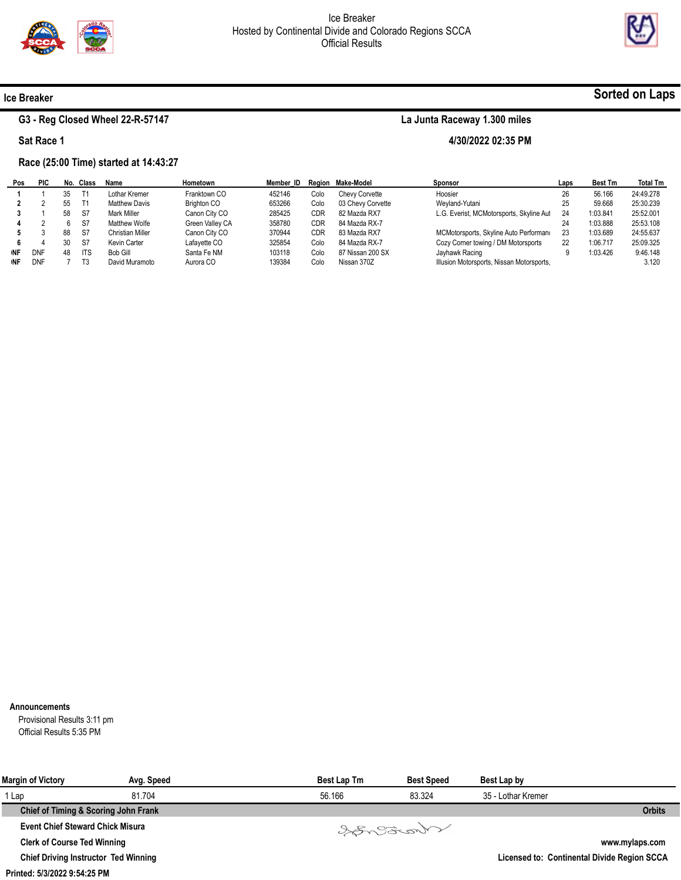

4/30/2022 02:35 PM



### Ice Breaker

### G3 - Reg Closed Wheel 22-R-57147

Sat Race 1

## Race (25:00 Time) started at 14:43:27

#### Pos 1 2 3 4 5 6 **NF NF** PIC 1 2 1 2 3 4 DNF DNF No. Class 35 55 58 6 88 30 48 7 T1 T1 S7 S7 S7 S7 ITS T3 Name Lothar Kremer Matthew Davis Mark Miller Matthew Wolfe Christian Miller Kevin Carter Bob Gill David Muramoto Hometown Franktown CO Brighton CO Canon City CO Green Valley CA Canon City CO Lafayette CO Santa Fe NM Aurora CO Member\_ID Region Make-Model 452146 653266 285425 358780 370944 325854 103118 139384 Colo Colo CDR CDR CDR Colo Colo Colo Chevy Corvette 03 Chevy Corvette 82 Mazda RX7 84 Mazda RX-7 83 Mazda RX7 84 Mazda RX-7 87 Nissan 200 SX Nissan 370Z Sponsor Hoosier Weyland-Yutani L.G. Everist, MCMotorsports, Skyline Aut MCMotorsports, Skyline Auto Performand Cozy Corner towing / DM Motorsports Jayhawk Racing Illusion Motorsports, Nissan Motorsports, Laps 26 25 24 24 23 22 9 Best Tm 56.166 59.668 1:03.841 1:03.888 1:03.689 1:06.717 1:03.426 Total Tm 24:49.278 25:30.239 25:52.001 25:53.108 24:55.637 25:09.325 9:46.148 3.120

#### Announcements

Provisional Results 3:11 pm Official Results 5:35 PM

| <b>Margin of Victory</b>                    | Avg. Speed | <b>Best Lap Tm</b> | <b>Best Speed</b> | Best Lap by        |                                             |
|---------------------------------------------|------------|--------------------|-------------------|--------------------|---------------------------------------------|
| 1 Lap                                       | 81.704     | 56.166             | 83.324            | 35 - Lothar Kremer |                                             |
| Chief of Timing & Scoring John Frank        |            |                    |                   |                    | <b>Orbits</b>                               |
| <b>Event Chief Steward Chick Misura</b>     |            |                    | Vargende          |                    |                                             |
| <b>Clerk of Course Ted Winning</b>          |            |                    |                   |                    | www.mylaps.com                              |
| <b>Chief Driving Instructor Ted Winning</b> |            |                    |                   |                    | Licensed to: Continental Divide Region SCCA |

#### Printed: 5/3/2022 9:54:25 PM

# Sorted on Laps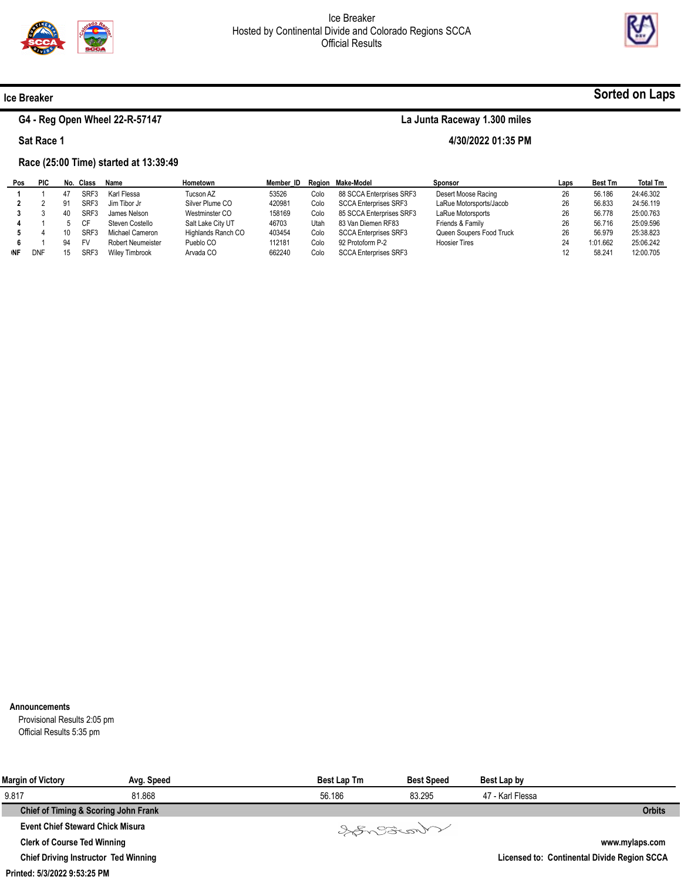

4/30/2022 01:35 PM



## Ice Breaker

# G4 - Reg Open Wheel 22-R-57147

Sat Race 1

# Race (25:00 Time) started at 13:39:49

| Pos | <b>PIC</b> |    | No. Class | Name                     | Hometown           | Member ID |      | Region Make-Model            | Sponsor                  | Laps | <b>Best Tm</b> | <b>Total Tm</b> |
|-----|------------|----|-----------|--------------------------|--------------------|-----------|------|------------------------------|--------------------------|------|----------------|-----------------|
|     |            |    | SRF3      | Karl Flessa              | Tucson AZ          | 53526     | Colo | 88 SCCA Enterprises SRF3     | Desert Moose Racing      | 26   | 56.186         | 24:46.302       |
|     |            | а1 | SRF3      | Jim Tibor Jr             | Silver Plume CO    | 420981    | Colo | <b>SCCA Enterprises SRF3</b> | LaRue Motorsports/Jacob  | 26   | 56.833         | 24:56.119       |
|     |            |    | SRF3      | James Nelson             | Westminster CO     | 158169    | Colo | 85 SCCA Enterprises SRF3     | LaRue Motorsports        | 26   | 56.778         | 25:00.763       |
|     |            |    | СF        | Steven Costello          | Salt Lake City UT  | 46703     | Utah | 83 Van Diemen RF83           | Friends & Family         | 26   | 56.716         | 25:09.596       |
|     |            | 10 | SRF3      | Michael Cameron          | Highlands Ranch CO | 403454    | Colo | <b>SCCA Enterprises SRF3</b> | Queen Soupers Food Truck | 26   | 56.979         | 25:38.823       |
|     |            | 94 | <b>FV</b> | <b>Robert Neumeister</b> | Pueblo CO          | 112181    | Colo | 92 Protoform P-2             | <b>Hoosier Tires</b>     | 24   | 1:01.662       | 25:06.242       |
| ۱NF | <b>DNF</b> |    |           | <b>Wiley Timbrook</b>    | Arvada CO          | 662240    | Colo | <b>SCCA Enterprises SRF3</b> |                          | 12   | 58.241         | 12:00.705       |

#### Announcements

Provisional Results 2:05 pm Official Results 5:35 pm

| <b>Margin of Victory</b>                    | Avg. Speed | <b>Best Lap Tm</b> | <b>Best Speed</b> | Best Lap by      |                                             |
|---------------------------------------------|------------|--------------------|-------------------|------------------|---------------------------------------------|
| 9.817                                       | 81.868     | 56.186             | 83.295            | 47 - Karl Flessa |                                             |
| Chief of Timing & Scoring John Frank        |            |                    |                   |                  | <b>Orbits</b>                               |
| <b>Event Chief Steward Chick Misura</b>     |            |                    | Varant            |                  |                                             |
| <b>Clerk of Course Ted Winning</b>          |            |                    |                   |                  | www.mylaps.com                              |
| <b>Chief Driving Instructor Ted Winning</b> |            |                    |                   |                  | Licensed to: Continental Divide Region SCCA |

# Sorted on Laps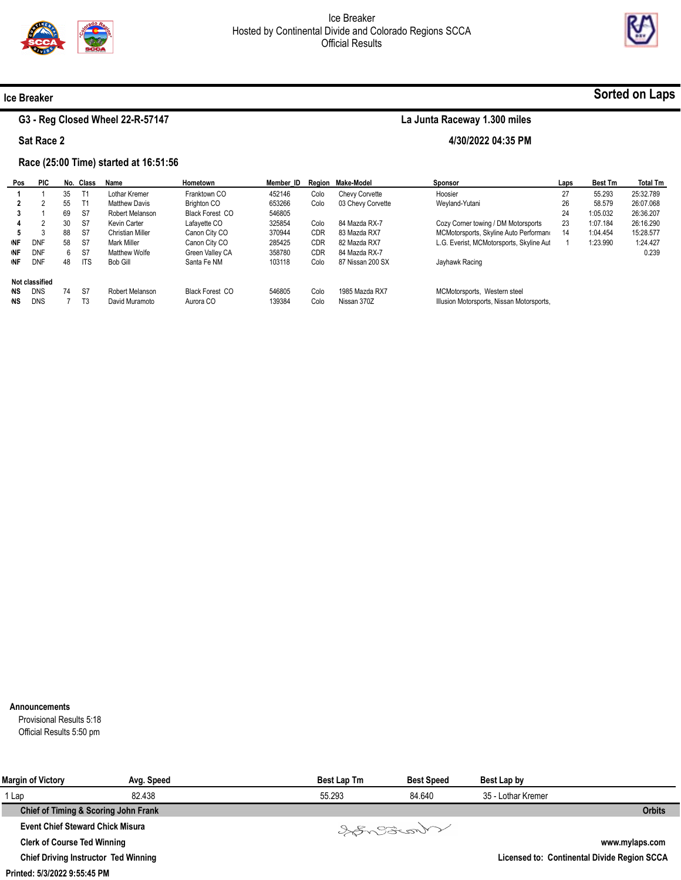

4/30/2022 04:35 PM



#### Ice Breaker

### G3 - Reg Closed Wheel 22-R-57147

Sat Race 2

## Race (25:00 Time) started at 16:51:56

#### Pos 1 2 3 4 5 **NF NF NF** Not classified DNS DNS PIC 1 2 1 2 3 DNF DNF DNF DNS DNS No. 35 55 69 30 88 58 6 48 74 7 Class T1 T1 S7 S7 S7 S7 S7 ITS S7 T3 Name Lothar Kremer Matthew Davis Robert Melanson Kevin Carter Christian Miller Mark Miller Matthew Wolfe Bob Gill Robert Melanson David Muramoto Hometown Franktown CO Brighton CO Black Forest CO Lafayette CO Canon City CO Canon City CO Green Valley CA Santa Fe NM Black Forest CO Aurora CO Member\_ID Region Make-Model 452146 653266 546805 325854 370944 285425 358780 103118 546805 139384 Colo Colo Colo CDR CDR CDR Colo Colo Colo Chevy Corvette 03 Chevy Corvette 84 Mazda RX-7 83 Mazda RX7 82 Mazda RX7 84 Mazda RX-7 87 Nissan 200 SX 1985 Mazda RX7 Nissan 370Z Sponsor Hoosier Weyland-Yutani Cozy Corner towing / DM Motorsports MCMotorsports, Skyline Auto Performand L.G. Everist, MCMotorsports, Skyline Aut Jayhawk Racing MCMotorsports, Western steel Illusion Motorsports, Nissan Motorsports, Laps 27 26 24 23 14 1 Best Tm 55.293 58.579 1:05.032 1:07.184 1:04.454 1:23.990 Total Tm 25:32.789 26:07.068 26:36.207 26:16.290 15:28.577 1:24.427 0.239

#### Announcements

Provisional Results 5:18 Official Results 5:50 pm

| <b>Margin of Victory</b>                    | Avg. Speed | <b>Best Lap Tm</b> | <b>Best Speed</b> | Best Lap by        |                                             |
|---------------------------------------------|------------|--------------------|-------------------|--------------------|---------------------------------------------|
| 1 Lap                                       | 82.438     | 55.293             | 84.640            | 35 - Lothar Kremer |                                             |
| Chief of Timing & Scoring John Frank        |            |                    |                   |                    | <b>Orbits</b>                               |
| <b>Event Chief Steward Chick Misura</b>     |            |                    | Varant            |                    |                                             |
| <b>Clerk of Course Ted Winning</b>          |            |                    |                   |                    | www.mylaps.com                              |
| <b>Chief Driving Instructor Ted Winning</b> |            |                    |                   |                    | Licensed to: Continental Divide Region SCCA |

## Sorted on Laps